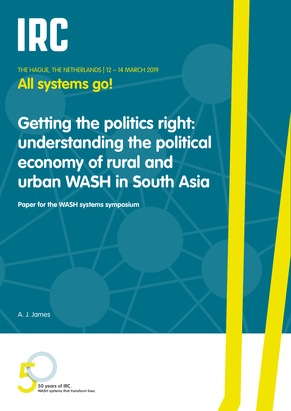# IRC

THE HAGUE, THE NETHERLANDS | 12 – 14 MARCH 2019 **All systems go!**

**Getting the politics right: understanding the political economy of rural and urban WASH in South Asia**

**Paper for the WASH systems symposium**

A. J. James

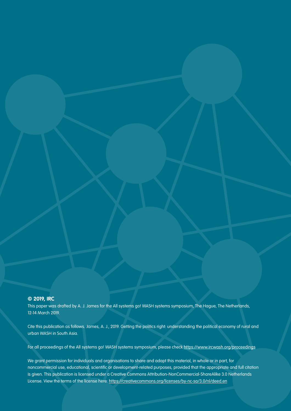## **© 2019, IRC**

This paper was drafted by A. J. James for the All systems go! WASH systems symposium, The Hague, The Netherlands, 12-14 March 2019.

Cite this publication as follows. James, A. J., 2019. Getting the politics right: understanding the political economy of rural and urban WASH in South Asia.

For all proceedings of the All systems go! WASH systems symposium, please check https://www.ircwash.org/proceedings

We grant permission for individuals and organisations to share and adapt this material, in whole or in part, for noncommercial use, educational, scientific or development-related purposes, provided that the appropriate and full citation is given. This publication is licensed under a Creative Commons Attribution-NonCommercial-ShareAlike 3.0 Netherlands License. View the terms of the license here: https://creativecommons.org/licenses/by-nc-sa/3.0/nl/deed.en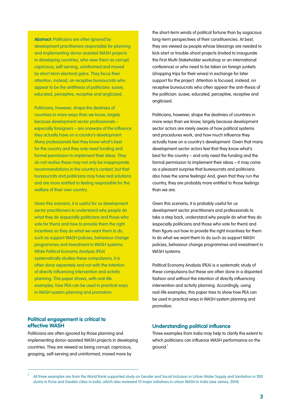**Abstract:** Politicians are often ignored by development practitioners responsible for planning and implementing donor-assisted WASH projects in developing countries, who view them as corrupt, capricious, self-serving, uninformed and moved by short-term electoral gains. They focus their attention, instead, on receptive bureaucrats who appear to be the antithesis of politicians: suave, educated, perceptive, receptive and anglicised.

Politicians, however, shape the destinies of countries in more ways than we know, largely because development sector professionals – especially foreigners – are unaware of the influence they actually have on a country's development. Many professionals feel they know what's best for the country and they only need funding and formal permission to implement their ideas. They do not realise these may not only be inappropriate recommendations in the country's context, but that bureaucrats and politicians may have real solutions and are more entitled to feeling responsible for the welfare of their own country.

Given this scenario, it is useful for us development sector practitioners to understand why people do what they do (especially politicians and those who vote for them) and how to provide them the right incentives so they do what we want them to do, such as support WASH policies, behaviour change programmes and investment in WASH systems. While Political Economy Analysis (PEA) systematically studies these compulsions, it is often done separately and not with the intention of directly influencing intervention and activity planning. This paper shows, with real-life examples, how PEA can be used in practical ways in WASH system planning and promotion.

the short-term winds of political fortune than by sagacious long-term perspectives of their constituencies. At best, they are viewed as people whose blessings are needed to kick-start or trouble-shoot projects (invited to inaugurate the First Multi-Stakeholder workshop or an international conference) or who need to be taken on foreign junkets (shopping trips for their wives) in exchange for later support for the project. Attention is focused, instead, on receptive bureaucrats who often appear the anti-thesis of the politician: suave, educated, perceptive, receptive and anglicised.

Politicians, however, shape the destinies of countries in more ways than we know, largely because development sector actors are rarely aware of how political systems and procedures work, and how much influence they actually have on a country's development. Given that many development sector actors feel that they know what's best for the country – and only need the funding and the formal permission to implement their ideas – it may come as a pleasant surprise that bureaucrats and politicians also have the same feelings! And, given that they run the country, they are probably more entitled to those feelings than we are.

Given this scenario, it is probably useful for us development sector practitioners and professionals to take a step back, understand why people do what they do (especially politicians and those who vote for them) and then figure out how to provide the right incentives for them to do what we want them to do such as support WASH policies, behaviour change programmes and investment in WASH systems.

Political Economy Analysis (PEA) is a systematic study of these compulsions but these are often done in a disjointed fashion and without the intention of directly influencing intervention and activity planning. Accordingly, using real-life examples, this paper tries to show how PEA can be used in practical ways in WASH system planning and promotion.

# **Political engagement is critical to effective WASH**

Politicians are often ignored by those planning and implementing donor-assisted WASH projects in developing countries. They are viewed as being corrupt, capricious, grasping, self-serving and uninformed, moved more by

## **Understanding political influence**

Three examples from India may help to clarify the extent to which politicians can influence WASH performance on the around.<sup>1</sup>

<sup>1</sup> All three examples are from the World Bank supported study on Gender and Social Inclusion in Urban Water Supply and Sanitation in 200 slums in Pune and Gwalior cities in India, which also reviewed 10 major initiatives in urban WASH in India (see James, 2014).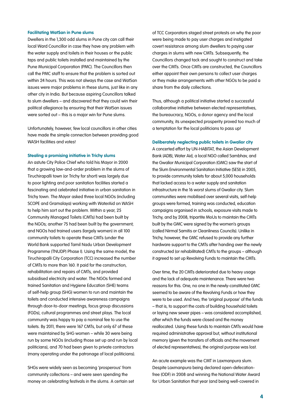#### **Facilitating WatSan in Pune slums**

Dwellers in the 1,300 odd slums in Pune city can call their local Ward Councillor in case they have any problem with the water supply and toilets in their houses or the public taps and public toilets installed and maintained by the Pune Municipal Corporation (PMC). The Councillors then call the PMC staff to ensure that the problem is sorted out within 24 hours. This was not always the case and WatSan issues were major problems in these slums, just like in any other city in India. But because aspiring Councillors talked to slum dwellers – and discovered that they could win their political allegiance by ensuring that their WatSan issues were sorted out – this is a major win for Pune slums.

Unfortunately, however, few local councillors in other cities have made the simple connection between providing good WASH facilities and votes!

#### **Stealing a promising initiative in Trichy slums**

An astute City Police Chief who told his Mayor in 2000 that a growing law-and-order problem in the slums of Tiruchirapalli town (or Trichy for short) was largely due to poor lighting and poor sanitation facilities started a fascinating and celebrated initiative in urban sanitation in Trichy town. The Mayor asked three local NGOs (including SCOPE and Gramalaya) working with WaterAid on WASH to help him sort out the problem. Within a year, 25 Community Managed Toilets (CMTs) had been built by the NGOs; another 75 had been built by the government; and NGOs had trained users (largely women) in all 100 community toilets to operate these CMTs (under the World Bank supported Tamil Nadu Urban Development Programme (TNUDP) Phase I). Using the same model, the Tiruchirapalli City Corporation (TCC) increased the number of CMTs to more than 160. It paid for the construction, rehabilitation and repairs of CMTs, and provided subsidised electricity and water. The NGOs formed and trained Sanitation and Hygiene Education (SHE) teams of self-help group (SHG) women to run and maintain the toilets and conducted intensive awareness campaigns through door-to-door meetings, focus group discussions (FGDs), cultural programmes and street plays. The local community was happy to pay a nominal fee to use the toilets. By 2011, there were 167 CMTs, but only 67 of these were maintained by SHG women – while 30 were being run by some NGOs (including those set up and run by local politicians), and 70 had been given to private contractors (many operating under the patronage of local politicians).

SHGs were widely seen as becoming 'prosperous' from community collections – and were seen spending the money on celebrating festivals in the slums. A certain set of TCC Corporators staged street protests on why the poor were being made to pay user charges and instigated covert resistance among slum dwellers to paying user charges in slums with new CMTs. Subsequently, the Councillors changed tack and sought to construct and take over the CMTs. Once CMTs are constructed, the Councillors either appoint their own persons to collect user charges or they make arrangements with other NGOs to be paid a share from the daily collections.

Thus, although a political initiative started a successful collaborative initiative between elected representatives, the bureaucracy, NGOs, a donor agency and the local community, its unexpected prosperity proved too much of a temptation for the local politicians to pass up!

#### **Deliberately neglecting public toilets in Gwalior city**

A concerted effort by UN-HABITAT, the Asian Development Bank (ADB), Water Aid, a local NGO called Sambhav, and the Gwalior Municipal Corporation (GMC) saw the start of the Slum Environmental Sanitation Initiative (SESI) in 2005, to provide community toilets for about 5,000 households that lacked access to a water supply and sanitation infrastructure in the 16 worst slums of Gwalior city. Slum communities were mobilised over several visits, self-help groups were formed, training was conducted, education campaigns organised in schools, exposure visits made to Trichy, and by 2008, tripartite MoUs to maintain the CMTs built by the GMC were signed by the women's groups (called Nirmal Samitis or Cleanliness Councils). Unlike in Trichy, however, the GMC refused to provide any further hardware support to the CMTs after handing over the newly constructed (or rehabilitated) CMTs to the groups – although it agreed to set up Revolving Funds to maintain the CMTs.

Over time, the 20 CMTs deteriorated due to heavy usage and the lack of adequate maintenance. There were two reasons for this. One, no one in the newly-constituted GMC seemed to be aware of the Revolving Funds or how they were to be used. And two, the 'original purpose' of the funds – that is, to support the costs of building household toilets or laying new sewer pipes – was considered accomplished, after which the funds were closed and the money reallocated. Using these funds to maintain CMTs would have required administrative approval but, without institutional memory (given the transfers of officials and the movement of elected representatives), the original purpose was lost.

An acute example was the CMT in Laxmanpura slum. Despite Laxmanpura being declared open-defecationfree (ODF) in 2008 and winning the National Water Award for Urban Sanitation that year (and being well-covered in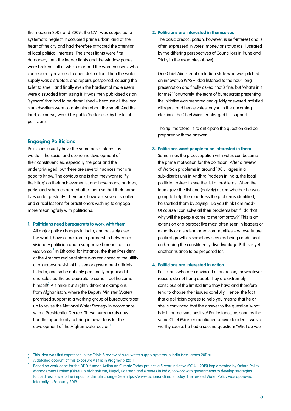the media in 2008 and 2009), the CMT was subjected to systematic neglect: It occupied prime urban land at the heart of the city and had therefore attracted the attention of local political interests. The street lights were first damaged, then the indoor lights and the window panes were broken – all of which alarmed the women users, who consequently reverted to open defecation. Then the water supply was disrupted, and repairs postponed, causing the toilet to smell, and finally even the hardiest of male users were dissuaded from using it. It was then publicised as an 'eyesore' that had to be demolished – because all the local slum dwellers were complaining about the smell. And the land, of course, would be put to 'better use' by the local politicians.

# **Engaging Politicians**

Politicians usually have the same basic interest as we do – the social and economic development of their constituencies, especially the poor and the underprivileged, but there are several nuances that are good to know. The obvious one is that they want to 'fly their flag' on their achievements, and have roads, bridges, parks and schemes named after them so that their name lives on for posterity. There are, however, several smaller and critical lessons for practitioners wishing to engage more meaningfully with politicians.

#### **1. Politicians need bureaucrats to work with them**

All major policy changes in India, and possibly over the world, have come from a partnership between a visionary politician and a supportive bureaucrat – or vice versa. $^2$  In Ethiopia, for instance, the then President of the Amhara regional state was convinced of the utility of an exposure visit of his senior government officials to India, and so he not only personally organised it and selected the bureaucrats to come – but he came himself! $^3$  A similar but slightly different example is from Afghanistan, where the Deputy Minister (Water) promised support to a working group of bureaucrats set up to revise the National Water Strategy in accordance with a Presidential Decree. These bureaucrats now had the opportunity to bring in new ideas for the development of the Afghan water sector.<sup>4</sup>

## **2. Politicians are interested in themselves**

The basic preoccupation, however, is self-interest and is often expressed in votes, money or status (as illustrated by the differing perspectives of Councillors in Pune and Trichy in the examples above).

One Chief Minister of an Indian state who was pitched an innovative WASH idea listened to the hour-long presentation and finally asked, that's fine, but 'what's in it for me?' Fortunately, the team of bureaucrats presenting the initiative was prepared and quickly answered: satisfied villagers, and hence votes for you in the upcoming election. The Chief Minister pledged his support.

The tip, therefore, is to anticipate the question and be prepared with the answer.

#### **3. Politicians want people to be interested in them**

Sometimes the preoccupation with votes can become the prime motivation for the politician. After a review of WatSan problems in around 100 villages in a sub-district unit in Andhra Pradesh in India, the local politician asked to see the list of problems. When the team gave the list and (naively) asked whether he was going to help them address the problems identified, he startled them by saying: 'Do you think I am mad? Of course I can solve all their problems but if I do that why will the people come to me tomorrow?' This is an extension of a perspective most often seen in leaders of minority or disadvantaged communities – whose future political growth is somehow seen as being conditional on keeping the constituency disadvantaged! This is yet another nuance to be prepared for.

## **4. Politicians are interested in action**

Politicians who are convinced of an action, for whatever reason, do not hang about. They are extremely conscious of the limited time they have and therefore tend to choose their issues carefully. Hence, the fact that a politician agrees to help you means that he or she is convinced that the answer to the question 'what is in it for me' was positive! For instance, as soon as the same Chief Minister mentioned above decided it was a worthy cause, he had a second question: 'What do you

<sup>&</sup>lt;sup>2</sup> This idea was first expressed in the Triple S review of rural water supply systems in India (see James 2011a).

<sup>3</sup> A detailed account of this exposure visit is in Pragmatix (2011).

<sup>4</sup> Based on work done for the DFID-funded Action on Climate Today project, a 5-year initiative (2014 – 2019) implemented by Oxford Policy Management Limited (OPML) in Afghanistan, Nepal, Pakistan and 6 states in India, to work with governments to develop strategies to build resilience to the impact of climate change. See https://www.actiononclimate.today. The revised Water Policy was approved internally in February 2019.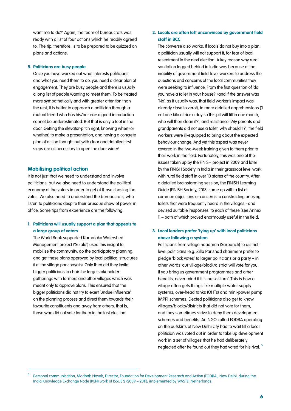want me to do?' Again, the team of bureaucrats was ready with a list of four actions which he readily agreed to. The tip, therefore, is to be prepared to be quizzed on plans and actions.

#### **5. Politicians are busy people**

Once you have worked out what interests politicians and what you need them to do, you need a clear plan of engagement. They are busy people and there is usually a long list of people wanting to meet them. To be treated more sympathetically and with greater attention than the rest, it is better to approach a politician through a mutual friend who has his/her ear: a good introduction cannot be underestimated. But that is only a foot in the door. Getting the elevator-pitch right, knowing when (or whether) to make a presentation, and having a concrete plan of action thought out with clear and detailed first steps are all necessary to open the door wider!

# **Mobilising political action**

It is not just that we need to understand and involve politicians, but we also need to understand the political economy of the voters in order to get at those chasing the votes. We also need to understand the bureaucrats, who listen to politicians despite their brusque show of power in office. Some tips from experience are the following.

# **1. Politicians will usually support a plan that appeals to a large group of voters**

The World Bank supported Karnataka Watershed Management project ('Sujala') used this insight to mobilise the community, do the participatory planning, and get these plans approved by local political structures (i.e. the village panchayats). Only then did they invite bigger politicians to chair the large stakeholder gatherings with farmers and other villages which was meant only to approve plans. This ensured that the bigger politicians did not try to exert 'undue influence' on the planning process and direct them towards their favourite constituents and away from others, that is, those who did not vote for them in the last election!

# **2. Locals are often left unconvinced by government field staff in BCC**

The converse also works. If locals do not buy into a plan, a politician usually will not support it, for fear of local resentment in the next election. A key reason why rural sanitation lagged behind in India was because of the inability of government field-level workers to address the questions and concerns of the local communities they were seeking to influence. From the first question of 'do you have a toilet in your house?' (and if the answer was 'No', as it usually was, that field worker's impact was already close to zero!), to more detailed apprehensions ('I eat one kilo of rice a day so this pit will fill in one month, who will then clean it?') and resistance ('My parents and grandparents did not use a toilet, why should I'?), the field workers were ill-equipped to bring about the expected behaviour change. And yet this aspect was never covered in the two-week training given to them prior to their work in the field. Fortunately, this was one of the issues taken up by the FINISH project in 2009 and later by the FINISH Society in India in their grassroot level work with rural field staff in over 10 states of the country. After a detailed brainstorming session, the FINISH Learning Guide (FINISH Society, 2013) came up with a list of common objections or concerns to constructing or using toilets that were frequently heard in the villages - and devised suitable 'responses' to each of these (see Annex 1) – both of which proved enormously useful in the field.

# **3. Local leaders prefer 'tying up' with local politicians above following a system**

Politicians from village headmen (Sarpanch) to districtlevel politicians (e.g. Zilla Parishad chairmen) prefer to pledge 'block votes' to larger politicians or a party – in other words 'our village/block/district will vote for you if you bring us government programmes and other benefits, never mind if it is out-of-turn'. This is how a village often gets things like multiple water supply systems, over-head tanks (OHTs) and mini-power pump (MPP) schemes. Elected politicians also get to know villages/blocks/districts that did not vote for them, and they sometimes strive to deny them development schemes and benefits. An NGO called FODRA operating on the outskirts of New Delhi city had to wait till a local politician was voted out in order to take up development work in a set of villages that he had deliberately neglected after he found out they had voted for his rival.<sup>5</sup>

Personal communication, Madhab Nayak, Director, Foundation for Development Research and Action (FODRA), New Delhi, during the India Knowledge Exchange Node (KEN) work of ISSUE 2 (2009 – 2011), implemented by WASTE, Netherlands.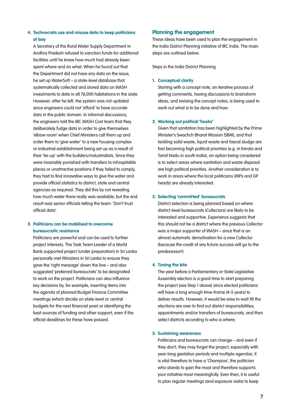# **4. Technocrats use and misuse data to keep politicians at bay**

A Secretary of the Rural Water Supply Department in Andhra Pradesh refused to sanction funds for additional facilities until he knew how much had already been spent where and on what. When he found out that the Department did not have any data on the issue, he set up WaterSoft – a state-level database that systematically collected and stored data on WASH investments to date in all 76,000 habitations in the state. However, after he left, the system was not updated since engineers could not 'afford' to have accurate data in the public domain. In informal discussions, the engineers told the IRC WASH Cost team that they deliberately fudge data in order to give themselves 'elbow room' when Chief Ministers call them up and order them to 'give water' to a new housing complex or industrial establishment being set up as a result of their 'tie-up' with the builders/industrialists. Since they were invariably punished with transfers to inhospitable places or unattractive positions if they failed to comply, they had to find innovative ways to give the water and provide official statistics to district, state and central agencies as required. They did this by not revealing how much water there really was available, but the end result was senior officials telling the team: 'Don't trust official data'.

# **5. Politicians can be mobilised to overcome bureaucratic resistance**

Politicians are powerful and can be used to further project interests. The Task Team Leader of a World Bank supported project (under preparation) in Sri Lanka personally met Ministers in Sri Lanka to ensure they gave the 'right message' down the line – and also suggested 'preferred bureaucrats' to be designated to work on the project. Politicians can also influence key decisions by, for example, inserting items into the agenda of planned Budget Finance Committee meetings (which decide on state-level or central budgets for the next financial year) or identifying the best sources of funding and other support, even if the official deadlines for these have passed.

## **Planning the engagement**

These ideas have been used to plan the engagement in the India District Planning initiative of IRC India. The main steps are outlined below.

Steps in the India District Planning

## **1. Conceptual clarity**

Starting with a concept note, an iterative process of getting comments, having discussions to brainstorm ideas, and revising the concept notes, is being used to work out what is to be done and how.

## **2. Working out political 'hooks'**

Given that sanitation has been highlighted by the Prime Minister's Swachch Bharat Mission (SBM), and that tackling solid waste, liquid waste and faecal sludge are fast becoming high political priorities (e.g. in Kerala and Tamil Nadu in south India), an option being considered is to select areas where sanitation and waste disposal are high political priorities. Another consideration is to work in areas where the local politicians (MPs and GP heads) are already interested.

#### **3. Selecting 'committed' bureaucrats**

District selection is being planned based on where district-level bureaucrats (Collectors) are likely to be interested and supportive. Experience suggests that this should not be a district where the previous Collector was a major supporter of WASH – since that is an almost automatic demotivation for a new Collector (because the credit of any future success will go to the predecessor!).

## **4. Timing the bite**

The year before a Parliamentary or State Legislative Assembly election is a good time to start preparing the project (see Step 1 above) since elected politicians will have a long enough time-frame (4-5 years) to deliver results. However, it would be wise to wait till the elections are over to find out district responsibilities, appointments and/or transfers of bureaucrats, and then select districts according to who is where.

## **5. Sustaining awareness**

Politicians and bureaucrats can change – and even if they don't, they may forget the project, especially with year-long gestation periods and multiple agendas. It is vital therefore to have a 'Champion', the politician who stands to gain the most and therefore supports your initiative most meaningfully. Even then, it is useful to plan regular meetings (and exposure visits) to keep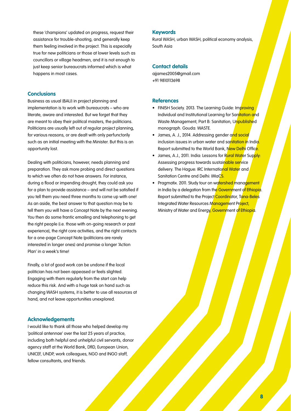these 'champions' updated on progress, request their assistance for trouble-shooting, and generally keep them feeling involved in the project. This is especially true for new politicians or those at lower levels such as councillors or village headmen, and it is not enough to just keep senior bureaucrats informed which is what happens in most cases.

# **Conclusions**

Business as usual (BAU) in project planning and implementation is to work with bureaucrats – who are literate, aware and interested. But we forget that they are meant to obey their political masters, the politicians. Politicians are usually left out of regular project planning, for various reasons, or are dealt with only perfunctorily such as an initial meeting with the Minister. But this is an opportunity lost.

Dealing with politicians, however, needs planning and preparation. They ask more probing and direct questions to which we often do not have answers. For instance, during a flood or impending drought, they could ask you for a plan to provide assistance – and will not be satisfied if you tell them you need three months to come up with one! As an aside, the best answer to that question may be to tell them you will have a Concept Note by the next evening. You then do some frantic emailing and telephoning to get the right people (i.e. those with on-going research or past experience), the right core activities, and the right contacts for a one-page Concept Note (politicians are rarely interested in longer ones) and promise a longer 'Action Plan' in a week's time!

Finally, a lot of good work can be undone if the local politician has not been appeased or feels slighted. Engaging with them regularly from the start can help reduce this risk. And with a huge task on hand such as changing WASH systems, it is better to use all resources at hand, and not leave opportunities unexplored.

# **Acknowledgements**

I would like to thank all those who helped develop my 'political antennae' over the last 25 years of practice, including both helpful and unhelpful civil servants, donor agency staff at the World Bank, DfID, European Union, UNICEF, UNDP, work colleagues, NGO and INGO staff, fellow consultants, and friends.

## **Keywords**

Rural WASH, urban WASH, political economy analysis, South Asia

# **Contact details**

aijames2005@amail.com +91 9810113698

# **References**

- FINISH Society. 2013. The Learning Guide: Improving Individual and Institutional Learning for Sanitation and Waste Management, Part B: Sanitation, Unpublished monograph. Gouda: WASTE.
- James, A. J., 2014. Addressing gender and social inclusion issues in urban water and sanitation in India. Report submitted to the World Bank, New Delhi Office.
- James, A.J., 2011. India: Lessons for Rural Water Supply: Assessing progress towards sustainable service delivery. The Hague: IRC International Water and Sanitation Centre and Delhi: IMaCS.
- Pragmatix. 2011. Study tour on watershed management in India by a delegation from the Government of Ethiopia. Report submitted to the Project Coordinator, Tana-Beles Integrated Water Resources Management Project, Ministry of Water and Energy, Government of Ethiopia.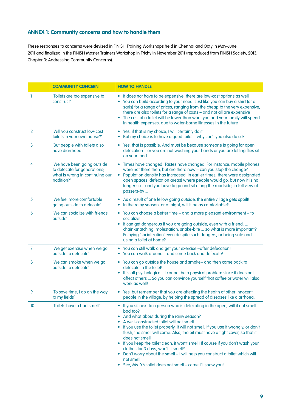# **ANNEX 1: Community concerns and how to handle them**

These responses to concerns were devised in FINISH Training Workshops held in Chennai and Ooty in May-June 2011 and finalized in the FINISH Master Trainers Workshop in Trichy in November 2011 (reproduced from FINISH Society, 2013, Chapter 3: Addressing Community Concerns).

|                | <b>COMMUNITY CONCERN</b>                                                                                      | <b>HOW TO HANDLE</b>                                                                                                                                                                                                                                                                                                                                                                                                                                                                                                                                                                                                                                                         |
|----------------|---------------------------------------------------------------------------------------------------------------|------------------------------------------------------------------------------------------------------------------------------------------------------------------------------------------------------------------------------------------------------------------------------------------------------------------------------------------------------------------------------------------------------------------------------------------------------------------------------------------------------------------------------------------------------------------------------------------------------------------------------------------------------------------------------|
| ı              | 'Toilets are too expensive to<br>construct'                                                                   | • It does not have to be expensive; there are low-cost options as well<br>You can build according to your need. Just like you can buy a shirt (or a<br>saris) for a range of prices, ranging from the cheap to the very expensive,<br>there are also toilets for a range of costs - and not all are expensive<br>The cost of a toilet will be lower than what you and your family will spend<br>$\bullet$<br>in health expenses, due to water-borne illnesses in the future                                                                                                                                                                                                  |
| $\overline{2}$ | 'Will you construct low-cost<br>toilets in your own house?'                                                   | Yes, if that is my choice, I will certainly do it<br>But my choice is to have a good toilet - why can't you also do so?!                                                                                                                                                                                                                                                                                                                                                                                                                                                                                                                                                     |
| 3              | 'But people with toilets also<br>have diarrhoea!'                                                             | • Yes, that is possible. And must be because someone is going for open<br>defecation - or you are not washing your hands or you are letting flies sit<br>on your food                                                                                                                                                                                                                                                                                                                                                                                                                                                                                                        |
| 4              | 'We have been going outside<br>to defecate for generations;<br>what is wrong in continuing our<br>tradition?' | Times have changed! Tastes have changed. For instance, mobile phones<br>٠<br>were not there then, but are there now - can you stop the change?<br>Population density has increased. In earlier times, there were designated<br>$\bullet$<br>open spaces (defecation areas) where people would go, but now it is no<br>longer so - and you have to go and sit along the roadside, in full view of<br>passers-by                                                                                                                                                                                                                                                               |
| 5              | 'We feel more comfortable<br>going outside to defecate'                                                       | • As a result of one fellow going outside, the entire village gets spoilt!<br>In the rainy season, or at night, will it be as comfortable?                                                                                                                                                                                                                                                                                                                                                                                                                                                                                                                                   |
| 6              | 'We can socialize with friends<br>outside'                                                                    | • You can choose a better time - and a more pleasant environment - to<br>socialize!<br>• It can get dangerous if you are going outside, even with a friend,<br>chain-snatching, molestation, snake-bite  so what is more important?<br>Enjoying 'socialization' even despite such dangers, or being safe and<br>using a toilet at home?                                                                                                                                                                                                                                                                                                                                      |
| $\overline{7}$ | 'We get exercise when we go<br>outside to defecate'                                                           | You can still walk and get your exercise -after defecation!<br>You can walk around - and come back and defecate!<br>$\bullet$                                                                                                                                                                                                                                                                                                                                                                                                                                                                                                                                                |
| 8              | 'We can smoke when we go<br>outside to defecate'                                                              | • You can go outside the house and smoke- and then come back to<br>defecate in the toilet!<br>It is all psychological. It cannot be a physical problem since it does not<br>affect others  So you can convince yourself that coffee or water will also<br>work as well!                                                                                                                                                                                                                                                                                                                                                                                                      |
| 9              | 'To save time, I do on the way<br>to my fields'                                                               | Yes, but remember that you are affecting the health of other innocent<br>$\bullet$<br>people in the village, by helping the spread of diseases like diarrhoea.                                                                                                                                                                                                                                                                                                                                                                                                                                                                                                               |
| 10             | 'Toilets have a bad smell'                                                                                    | If you sit next to a person who is defecating in the open, will it not smell<br>bad too?<br>And what about during the rainy season?<br>$\bullet$<br>A well-constructed toilet will not smell<br>If you use the toilet properly, it will not smell; if you use it wrongly, or don't<br>flush, the smell will come. Also, the pit must have a tight cover, so that it<br>does not smell<br>• If you keep the toilet clean, it won't smell! If course if you don't wash your<br>clothes for 3 days, won't it smell?<br>• Don't worry about the smell - I will help you construct a toilet which will<br>not smell<br>• See, Ms. Y's toilet does not smell - come I'll show you! |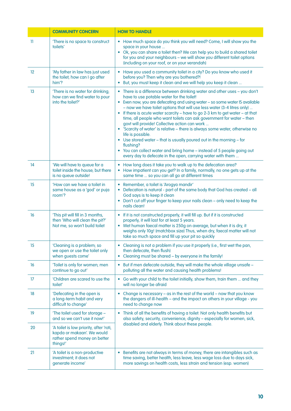|              | <b>COMMUNITY CONCERN</b>                                                                                          | <b>HOW TO HANDLE</b>                                                                                                                                                                                                                                                                                                                                                                                                                                                                                                                                                                                                                                                                                                                                                                                                           |
|--------------|-------------------------------------------------------------------------------------------------------------------|--------------------------------------------------------------------------------------------------------------------------------------------------------------------------------------------------------------------------------------------------------------------------------------------------------------------------------------------------------------------------------------------------------------------------------------------------------------------------------------------------------------------------------------------------------------------------------------------------------------------------------------------------------------------------------------------------------------------------------------------------------------------------------------------------------------------------------|
| $\mathbf{1}$ | 'There is no space to construct<br>toilets'                                                                       | • How much space do you think you will need? Come, I will show you the<br>space in your house<br>• Ok, you can share a toilet then? We can help you to build a shared toilet<br>for you and your neighbours - we will show you different toilet options<br>(including on your roof, or on your verandah)                                                                                                                                                                                                                                                                                                                                                                                                                                                                                                                       |
| 12           | 'My father in law has just used<br>the toilet; how can I go after<br>him?                                         | • Have you used a community toilet in a city? Do you know who used it<br>before you? Then why are you bothered?!<br>• But, you must keep it clean and we will help you keep it clean                                                                                                                                                                                                                                                                                                                                                                                                                                                                                                                                                                                                                                           |
| 13           | 'There is no water for drinking;<br>how can we find water to pour<br>into the toilet?'                            | • There is a difference between drinking water and other uses - you don't<br>have to use potable water for the toilet!<br>• Even now, you are defecating and using water - so some water IS available<br>- now we have toilet options that will use less water (3-4 litres only)<br>• If there is acute water scarcity - have to go 2-3 km to get water - at that<br>time, all people who want toilets can ask government for water - then<br>govt will provide! Collective action can work<br>• 'Scarcity of water' is relative - there is always some water, otherwise no<br>life is possible.<br>• Use stored water - that is usually poured out in the morning - for<br>flushing?<br>• You can collect water and bring home - instead of 5 people going out<br>every day to defecate in the open, carrying water with them |
| 14           | 'We will have to queue for a<br>toilet inside the house; but there<br>is no queue outside!                        | How long does it take you to walk up to the defecation area?<br>How impatient can you get? In a family, normally, no one gets up at the<br>$\bullet$<br>same time  so you can all go at different times                                                                                                                                                                                                                                                                                                                                                                                                                                                                                                                                                                                                                        |
| 15           | 'How can we have a toilet in<br>same house as a 'god' or puja<br>room <sup>'?</sup>                               | Remember, a toilet is 'Arogya mandir'<br>Defecation is natural - part of the same body that God has created - all<br>God says is to keep it clean<br>Don't cut off your finger to keep your nails clean - only need to keep the<br>$\bullet$<br>nails clean!                                                                                                                                                                                                                                                                                                                                                                                                                                                                                                                                                                   |
| 16           | 'This pit will fill in 3 months,<br>then 'Who will clean the pit?'<br>Not me, so won't build toilet               | • If it is not constructed properly, it will fill up. But if it is constructed<br>properly, it will last for at least 5 years.<br>• Wet human faecal matter is 250g on average, but when it is dry, it<br>weighs only 10g! (matchbox size) Thus, when dry, faecal matter will not<br>take so much space and fill up your pit so quickly                                                                                                                                                                                                                                                                                                                                                                                                                                                                                        |
| 15           | 'Cleaning is a problem: so<br>we open or use the toilet only<br>when guests come'                                 | • Cleaning is not a problem if you use it properly (i.e., first wet the pan,<br>then defecate, then flush)<br>Cleaning must be shared - by everyone in the family!                                                                                                                                                                                                                                                                                                                                                                                                                                                                                                                                                                                                                                                             |
| 16           | 'Toilet is only for women; men<br>continue to go out'                                                             | • But if men defecate outside, they will make the whole village unsafe -<br>polluting all the water and causing health problems!                                                                                                                                                                                                                                                                                                                                                                                                                                                                                                                                                                                                                                                                                               |
| 17           | 'Children are scared to use the<br>toilet'                                                                        | • Go with your child to the toilet initially, show them, train them  and they<br>will no longer be afraid                                                                                                                                                                                                                                                                                                                                                                                                                                                                                                                                                                                                                                                                                                                      |
| 18           | 'Defecating in the open is<br>a long-term habit and very<br>difficult to change'                                  | • Change is necessary - as in the rest of the world - now that you know<br>the dangers of ill-health - and the impact on others in your village - you<br>need to change now                                                                                                                                                                                                                                                                                                                                                                                                                                                                                                                                                                                                                                                    |
| 19           | The toilet used for storage -<br>and so we can't use it now!'                                                     | Think of all the benefits of having a toilet: Not only health benefits but<br>$\bullet$<br>also safety, security, convenience, dignity - especially for women, sick,<br>disabled and elderly. Think about these people.                                                                                                                                                                                                                                                                                                                                                                                                                                                                                                                                                                                                        |
| 20           | 'A toilet is low priority, after 'roti,<br>kapda or makaan'. We would<br>rather spend money on better<br>things!' |                                                                                                                                                                                                                                                                                                                                                                                                                                                                                                                                                                                                                                                                                                                                                                                                                                |
| 21           | 'A toilet is a non-productive<br>investment; it does not<br>generate income'                                      | • Benefits are not always in terms of money, there are intangibles such as<br>time saving, better health, less leave, less wage loss due to days sick,<br>more savings on health costs, less strain and tension (esp. women)                                                                                                                                                                                                                                                                                                                                                                                                                                                                                                                                                                                                   |